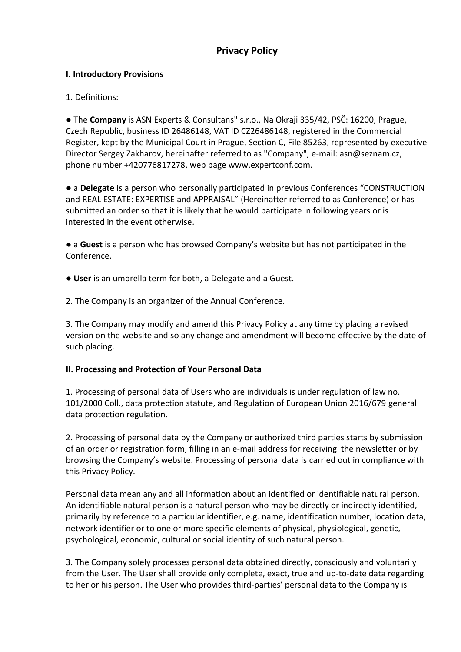# **Privacy Policy**

#### **I. Introductory Provisions**

### 1. Definitions:

● The **Company** is ASN Experts & Consultans" s.r.o., Na Okraji 335/42, PSČ: 16200, Prague, Czech Republic, business ID 26486148, VAT ID CZ26486148, registered in the Commercial Register, kept by the Municipal Court in Prague, Section C, File 85263, represented by executive Director Sergey Zakharov, hereinafter referred to as "Company", e-mail: asn@seznam.cz, phone number +420776817278, web page www.expertconf.com.

● a **Delegate** is a person who personally participated in previous Conferences "CONSTRUCTION and REAL ESTATE: EXPERTISE and APPRAISAL" (Hereinafter referred to as Conference) or has submitted an order so that it is likely that he would participate in following years or is interested in the event otherwise.

● a **Guest** is a person who has browsed Company's website but has not participated in the Conference.

● **User** is an umbrella term for both, a Delegate and a Guest.

2. The Company is an organizer of the Annual Conference.

3. The Company may modify and amend this Privacy Policy at any time by placing a revised version on the website and so any change and amendment will become effective by the date of such placing.

### **II. Processing and Protection of Your Personal Data**

1. Processing of personal data of Users who are individuals is under regulation of law no. 101/2000 Coll., data protection statute, and Regulation of European Union 2016/679 general data protection regulation.

2. Processing of personal data by the Company or authorized third parties starts by submission of an order or registration form, filling in an e-mail address for receiving the newsletter or by browsing the Company's website. Processing of personal data is carried out in compliance with this Privacy Policy.

Personal data mean any and all information about an identified or identifiable natural person. An identifiable natural person is a natural person who may be directly or indirectly identified, primarily by reference to a particular identifier, e.g. name, identification number, location data, network identifier or to one or more specific elements of physical, physiological, genetic, psychological, economic, cultural or social identity of such natural person.

3. The Company solely processes personal data obtained directly, consciously and voluntarily from the User. The User shall provide only complete, exact, true and up-to-date data regarding to her or his person. The User who provides third-parties' personal data to the Company is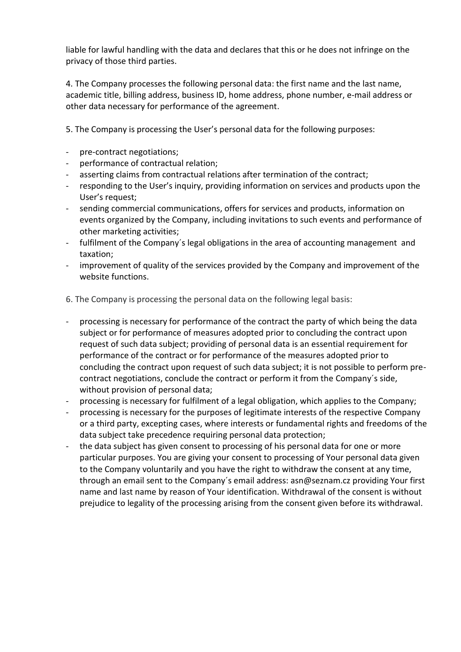liable for lawful handling with the data and declares that this or he does not infringe on the privacy of those third parties.

4. The Company processes the following personal data: the first name and the last name, academic title, billing address, business ID, home address, phone number, e-mail address or other data necessary for performance of the agreement.

5. The Company is processing the User's personal data for the following purposes:

- pre-contract negotiations;
- performance of contractual relation;
- asserting claims from contractual relations after termination of the contract;
- responding to the User's inquiry, providing information on services and products upon the User's request;
- sending commercial communications, offers for services and products, information on events organized by the Company, including invitations to such events and performance of other marketing activities;
- fulfilment of the Company's legal obligations in the area of accounting management and taxation;
- improvement of quality of the services provided by the Company and improvement of the website functions.

6. The Company is processing the personal data on the following legal basis:

- processing is necessary for performance of the contract the party of which being the data subject or for performance of measures adopted prior to concluding the contract upon request of such data subject; providing of personal data is an essential requirement for performance of the contract or for performance of the measures adopted prior to concluding the contract upon request of such data subject; it is not possible to perform precontract negotiations, conclude the contract or perform it from the Company´s side, without provision of personal data;
- processing is necessary for fulfilment of a legal obligation, which applies to the Company;
- processing is necessary for the purposes of legitimate interests of the respective Company or a third party, excepting cases, where interests or fundamental rights and freedoms of the data subject take precedence requiring personal data protection;
- the data subject has given consent to processing of his personal data for one or more particular purposes. You are giving your consent to processing of Your personal data given to the Company voluntarily and you have the right to withdraw the consent at any time, through an email sent to the Company´s email address: [asn@seznam.cz](mailto:zadosti@aspectworks.com) providing Your first name and last name by reason of Your identification. Withdrawal of the consent is without prejudice to legality of the processing arising from the consent given before its withdrawal.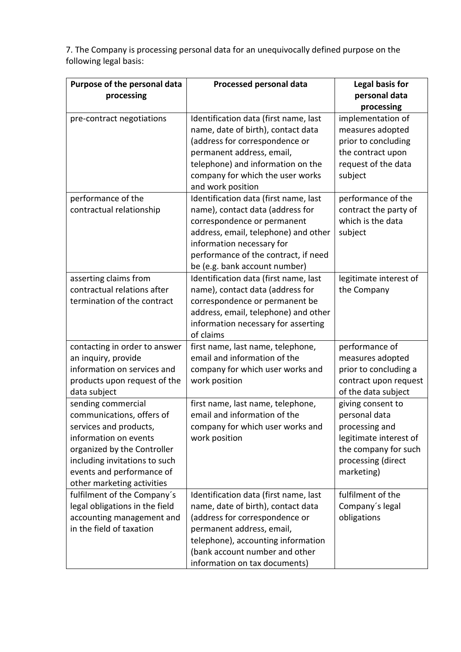7. The Company is processing personal data for an unequivocally defined purpose on the following legal basis:

| Purpose of the personal data<br>processing                                                                                                                                                                                    | Processed personal data                                                                                                                                                                                                                                | Legal basis for<br>personal data<br>processing                                                                                             |
|-------------------------------------------------------------------------------------------------------------------------------------------------------------------------------------------------------------------------------|--------------------------------------------------------------------------------------------------------------------------------------------------------------------------------------------------------------------------------------------------------|--------------------------------------------------------------------------------------------------------------------------------------------|
| pre-contract negotiations                                                                                                                                                                                                     | Identification data (first name, last<br>name, date of birth), contact data<br>(address for correspondence or<br>permanent address, email,<br>telephone) and information on the<br>company for which the user works<br>and work position               | implementation of<br>measures adopted<br>prior to concluding<br>the contract upon<br>request of the data<br>subject                        |
| performance of the<br>contractual relationship                                                                                                                                                                                | Identification data (first name, last<br>name), contact data (address for<br>correspondence or permanent<br>address, email, telephone) and other<br>information necessary for<br>performance of the contract, if need<br>be (e.g. bank account number) | performance of the<br>contract the party of<br>which is the data<br>subject                                                                |
| asserting claims from<br>contractual relations after<br>termination of the contract                                                                                                                                           | Identification data (first name, last<br>name), contact data (address for<br>correspondence or permanent be<br>address, email, telephone) and other<br>information necessary for asserting<br>of claims                                                | legitimate interest of<br>the Company                                                                                                      |
| contacting in order to answer<br>an inquiry, provide<br>information on services and<br>products upon request of the<br>data subject                                                                                           | first name, last name, telephone,<br>email and information of the<br>company for which user works and<br>work position                                                                                                                                 | performance of<br>measures adopted<br>prior to concluding a<br>contract upon request<br>of the data subject                                |
| sending commercial<br>communications, offers of<br>services and products,<br>information on events<br>organized by the Controller<br>including invitations to such<br>events and performance of<br>other marketing activities | first name, last name, telephone,<br>email and information of the<br>company for which user works and<br>work position                                                                                                                                 | giving consent to<br>personal data<br>processing and<br>legitimate interest of<br>the company for such<br>processing (direct<br>marketing) |
| fulfilment of the Company's<br>legal obligations in the field<br>accounting management and<br>in the field of taxation                                                                                                        | Identification data (first name, last<br>name, date of birth), contact data<br>(address for correspondence or<br>permanent address, email,<br>telephone), accounting information<br>(bank account number and other<br>information on tax documents)    | fulfilment of the<br>Company's legal<br>obligations                                                                                        |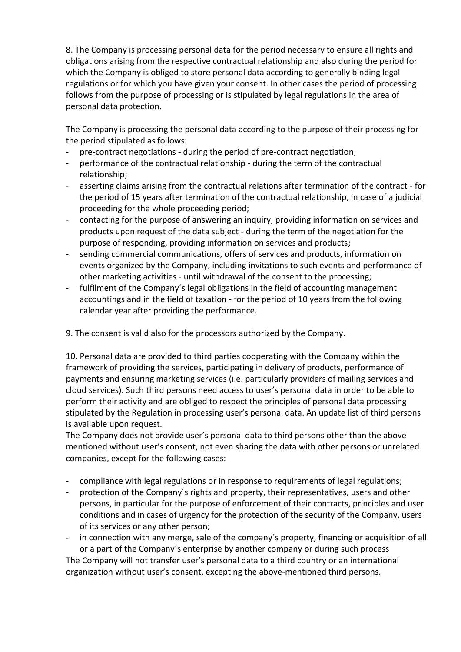8. The Company is processing personal data for the period necessary to ensure all rights and obligations arising from the respective contractual relationship and also during the period for which the Company is obliged to store personal data according to generally binding legal regulations or for which you have given your consent. In other cases the period of processing follows from the purpose of processing or is stipulated by legal regulations in the area of personal data protection.

The Company is processing the personal data according to the purpose of their processing for the period stipulated as follows:

- pre-contract negotiations during the period of pre-contract negotiation;
- performance of the contractual relationship during the term of the contractual relationship;
- asserting claims arising from the contractual relations after termination of the contract for the period of 15 years after termination of the contractual relationship, in case of a judicial proceeding for the whole proceeding period;
- contacting for the purpose of answering an inquiry, providing information on services and products upon request of the data subject - during the term of the negotiation for the purpose of responding, providing information on services and products;
- sending commercial communications, offers of services and products, information on events organized by the Company, including invitations to such events and performance of other marketing activities - until withdrawal of the consent to the processing;
- fulfilment of the Company´s legal obligations in the field of accounting management accountings and in the field of taxation - for the period of 10 years from the following calendar year after providing the performance.

9. The consent is valid also for the processors authorized by the Company.

10. Personal data are provided to third parties cooperating with the Company within the framework of providing the services, participating in delivery of products, performance of payments and ensuring marketing services (i.e. particularly providers of mailing services and cloud services). Such third persons need access to user's personal data in order to be able to perform their activity and are obliged to respect the principles of personal data processing stipulated by the Regulation in processing user's personal data. An update list of third persons is available upon request.

The Company does not provide user's personal data to third persons other than the above mentioned without user's consent, not even sharing the data with other persons or unrelated companies, except for the following cases:

- compliance with legal regulations or in response to requirements of legal regulations;
- protection of the Company's rights and property, their representatives, users and other persons, in particular for the purpose of enforcement of their contracts, principles and user conditions and in cases of urgency for the protection of the security of the Company, users of its services or any other person;
- in connection with any merge, sale of the company's property, financing or acquisition of all or a part of the Company´s enterprise by another company or during such process

The Company will not transfer user's personal data to a third country or an international organization without user's consent, excepting the above-mentioned third persons.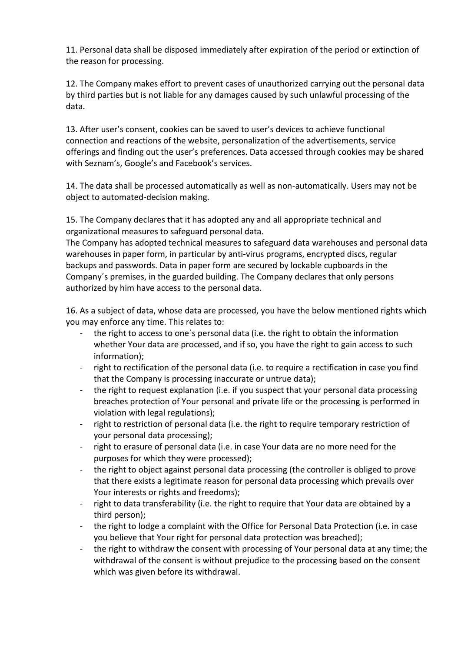11. Personal data shall be disposed immediately after expiration of the period or extinction of the reason for processing.

12. The Company makes effort to prevent cases of unauthorized carrying out the personal data by third parties but is not liable for any damages caused by such unlawful processing of the data.

13. After user's consent, cookies can be saved to user's devices to achieve functional connection and reactions of the website, personalization of the advertisements, service offerings and finding out the user's preferences. Data accessed through cookies may be shared with Seznam's, Google's and Facebook's services.

14. The data shall be processed automatically as well as non-automatically. Users may not be object to automated-decision making.

15. The Company declares that it has adopted any and all appropriate technical and organizational measures to safeguard personal data.

The Company has adopted technical measures to safeguard data warehouses and personal data warehouses in paper form, in particular by anti-virus programs, encrypted discs, regular backups and passwords. Data in paper form are secured by lockable cupboards in the Company´s premises, in the guarded building. The Company declares that only persons authorized by him have access to the personal data.

16. As a subject of data, whose data are processed, you have the below mentioned rights which you may enforce any time. This relates to:

- the right to access to one´s personal data (i.e. the right to obtain the information whether Your data are processed, and if so, you have the right to gain access to such information);
- right to rectification of the personal data (i.e. to require a rectification in case you find that the Company is processing inaccurate or untrue data);
- the right to request explanation (i.e. if you suspect that your personal data processing breaches protection of Your personal and private life or the processing is performed in violation with legal regulations);
- right to restriction of personal data (i.e. the right to require temporary restriction of your personal data processing);
- right to erasure of personal data (i.e. in case Your data are no more need for the purposes for which they were processed);
- the right to object against personal data processing (the controller is obliged to prove that there exists a legitimate reason for personal data processing which prevails over Your interests or rights and freedoms);
- right to data transferability (i.e. the right to require that Your data are obtained by a third person);
- the right to lodge a complaint with the Office for Personal Data Protection (i.e. in case you believe that Your right for personal data protection was breached);
- the right to withdraw the consent with processing of Your personal data at any time; the withdrawal of the consent is without prejudice to the processing based on the consent which was given before its withdrawal.